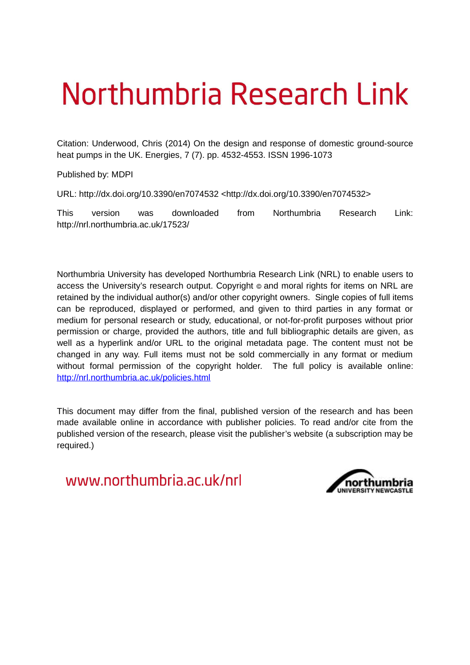# Northumbria Research Link

Citation: Underwood, Chris (2014) On the design and response of domestic ground-source heat pumps in the UK. Energies, 7 (7). pp. 4532-4553. ISSN 1996-1073

Published by: MDPI

URL: http://dx.doi.org/10.3390/en7074532 <http://dx.doi.org/10.3390/en7074532>

This version was downloaded from Northumbria Research Link: http://nrl.northumbria.ac.uk/17523/

Northumbria University has developed Northumbria Research Link (NRL) to enable users to access the University's research output. Copyright © and moral rights for items on NRL are retained by the individual author(s) and/or other copyright owners. Single copies of full items can be reproduced, displayed or performed, and given to third parties in any format or medium for personal research or study, educational, or not-for-profit purposes without prior permission or charge, provided the authors, title and full bibliographic details are given, as well as a hyperlink and/or URL to the original metadata page. The content must not be changed in any way. Full items must not be sold commercially in any format or medium without formal permission of the copyright holder. The full policy is available online: <http://nrl.northumbria.ac.uk/policies.html>

This document may differ from the final, published version of the research and has been made available online in accordance with publisher policies. To read and/or cite from the published version of the research, please visit the publisher's website (a subscription may be required.)

www.northumbria.ac.uk/nrl

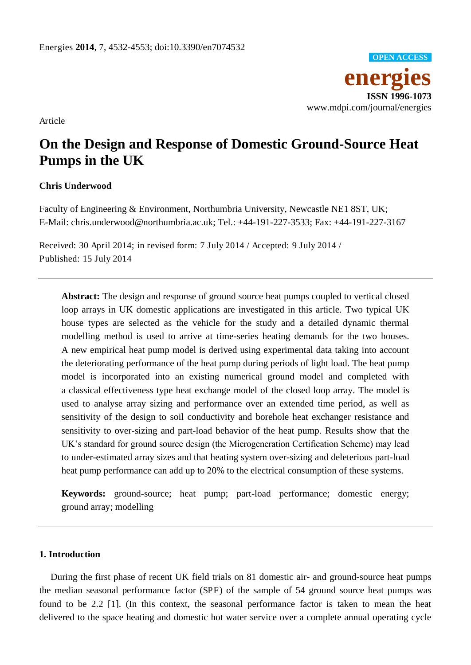

Article

## **On the Design and Response of Domestic Ground-Source Heat Pumps in the UK**

### **Chris Underwood**

Faculty of Engineering & Environment, Northumbria University, Newcastle NE1 8ST, UK; E-Mail: chris.underwood@northumbria.ac.uk; Tel.: +44-191-227-3533; Fax: +44-191-227-3167

Received: 30 April 2014; in revised form: 7 July 2014 / Accepted: 9 July 2014 / Published: 15 July 2014

**Abstract:** The design and response of ground source heat pumps coupled to vertical closed loop arrays in UK domestic applications are investigated in this article. Two typical UK house types are selected as the vehicle for the study and a detailed dynamic thermal modelling method is used to arrive at time-series heating demands for the two houses. A new empirical heat pump model is derived using experimental data taking into account the deteriorating performance of the heat pump during periods of light load. The heat pump model is incorporated into an existing numerical ground model and completed with a classical effectiveness type heat exchange model of the closed loop array. The model is used to analyse array sizing and performance over an extended time period, as well as sensitivity of the design to soil conductivity and borehole heat exchanger resistance and sensitivity to over-sizing and part-load behavior of the heat pump. Results show that the UK's standard for ground source design (the Microgeneration Certification Scheme) may lead to under-estimated array sizes and that heating system over-sizing and deleterious part-load heat pump performance can add up to 20% to the electrical consumption of these systems.

**Keywords:** ground-source; heat pump; part-load performance; domestic energy; ground array; modelling

#### **1. Introduction**

During the first phase of recent UK field trials on 81 domestic air- and ground-source heat pumps the median seasonal performance factor (SPF) of the sample of 54 ground source heat pumps was found to be 2.2 [1]. (In this context, the seasonal performance factor is taken to mean the heat delivered to the space heating and domestic hot water service over a complete annual operating cycle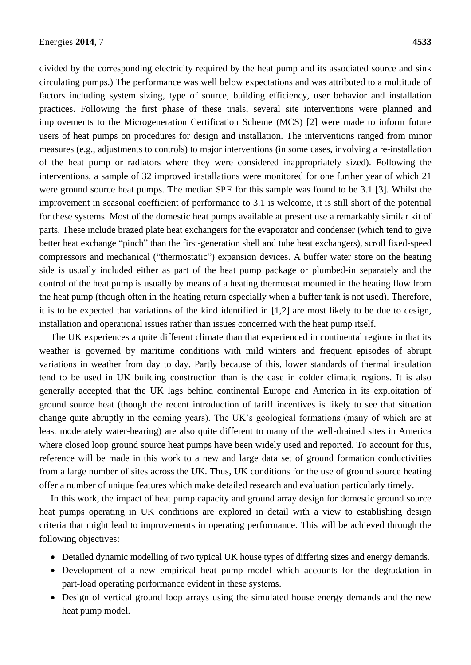divided by the corresponding electricity required by the heat pump and its associated source and sink circulating pumps.) The performance was well below expectations and was attributed to a multitude of factors including system sizing, type of source, building efficiency, user behavior and installation practices. Following the first phase of these trials, several site interventions were planned and improvements to the Microgeneration Certification Scheme (MCS) [2] were made to inform future users of heat pumps on procedures for design and installation. The interventions ranged from minor measures (e.g., adjustments to controls) to major interventions (in some cases, involving a re-installation of the heat pump or radiators where they were considered inappropriately sized). Following the interventions, a sample of 32 improved installations were monitored for one further year of which 21 were ground source heat pumps. The median SPF for this sample was found to be 3.1 [3]. Whilst the improvement in seasonal coefficient of performance to 3.1 is welcome, it is still short of the potential for these systems. Most of the domestic heat pumps available at present use a remarkably similar kit of parts. These include brazed plate heat exchangers for the evaporator and condenser (which tend to give better heat exchange "pinch" than the first-generation shell and tube heat exchangers), scroll fixed-speed compressors and mechanical ("thermostatic") expansion devices. A buffer water store on the heating side is usually included either as part of the heat pump package or plumbed-in separately and the control of the heat pump is usually by means of a heating thermostat mounted in the heating flow from the heat pump (though often in the heating return especially when a buffer tank is not used). Therefore, it is to be expected that variations of the kind identified in [1,2] are most likely to be due to design, installation and operational issues rather than issues concerned with the heat pump itself.

The UK experiences a quite different climate than that experienced in continental regions in that its weather is governed by maritime conditions with mild winters and frequent episodes of abrupt variations in weather from day to day. Partly because of this, lower standards of thermal insulation tend to be used in UK building construction than is the case in colder climatic regions. It is also generally accepted that the UK lags behind continental Europe and America in its exploitation of ground source heat (though the recent introduction of tariff incentives is likely to see that situation change quite abruptly in the coming years). The UK's geological formations (many of which are at least moderately water-bearing) are also quite different to many of the well-drained sites in America where closed loop ground source heat pumps have been widely used and reported. To account for this, reference will be made in this work to a new and large data set of ground formation conductivities from a large number of sites across the UK. Thus, UK conditions for the use of ground source heating offer a number of unique features which make detailed research and evaluation particularly timely.

In this work, the impact of heat pump capacity and ground array design for domestic ground source heat pumps operating in UK conditions are explored in detail with a view to establishing design criteria that might lead to improvements in operating performance. This will be achieved through the following objectives:

- Detailed dynamic modelling of two typical UK house types of differing sizes and energy demands.
- Development of a new empirical heat pump model which accounts for the degradation in part-load operating performance evident in these systems.
- Design of vertical ground loop arrays using the simulated house energy demands and the new heat pump model.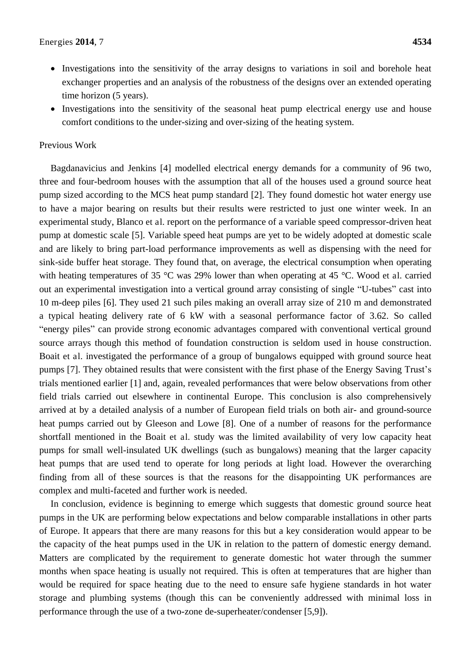- Investigations into the sensitivity of the array designs to variations in soil and borehole heat exchanger properties and an analysis of the robustness of the designs over an extended operating time horizon (5 years).
- Investigations into the sensitivity of the seasonal heat pump electrical energy use and house comfort conditions to the under-sizing and over-sizing of the heating system.

#### Previous Work

Bagdanavicius and Jenkins [4] modelled electrical energy demands for a community of 96 two, three and four-bedroom houses with the assumption that all of the houses used a ground source heat pump sized according to the MCS heat pump standard [2]. They found domestic hot water energy use to have a major bearing on results but their results were restricted to just one winter week. In an experimental study, Blanco et al. report on the performance of a variable speed compressor-driven heat pump at domestic scale [5]. Variable speed heat pumps are yet to be widely adopted at domestic scale and are likely to bring part-load performance improvements as well as dispensing with the need for sink-side buffer heat storage. They found that, on average, the electrical consumption when operating with heating temperatures of 35 °C was 29% lower than when operating at 45 °C. Wood et al. carried out an experimental investigation into a vertical ground array consisting of single "U-tubes" cast into 10 m-deep piles [6]. They used 21 such piles making an overall array size of 210 m and demonstrated a typical heating delivery rate of 6 kW with a seasonal performance factor of 3.62. So called "energy piles" can provide strong economic advantages compared with conventional vertical ground source arrays though this method of foundation construction is seldom used in house construction. Boait et al. investigated the performance of a group of bungalows equipped with ground source heat pumps [7]. They obtained results that were consistent with the first phase of the Energy Saving Trust's trials mentioned earlier [1] and, again, revealed performances that were below observations from other field trials carried out elsewhere in continental Europe. This conclusion is also comprehensively arrived at by a detailed analysis of a number of European field trials on both air- and ground-source heat pumps carried out by Gleeson and Lowe [8]. One of a number of reasons for the performance shortfall mentioned in the Boait et al. study was the limited availability of very low capacity heat pumps for small well-insulated UK dwellings (such as bungalows) meaning that the larger capacity heat pumps that are used tend to operate for long periods at light load. However the overarching finding from all of these sources is that the reasons for the disappointing UK performances are complex and multi-faceted and further work is needed.

In conclusion, evidence is beginning to emerge which suggests that domestic ground source heat pumps in the UK are performing below expectations and below comparable installations in other parts of Europe. It appears that there are many reasons for this but a key consideration would appear to be the capacity of the heat pumps used in the UK in relation to the pattern of domestic energy demand. Matters are complicated by the requirement to generate domestic hot water through the summer months when space heating is usually not required. This is often at temperatures that are higher than would be required for space heating due to the need to ensure safe hygiene standards in hot water storage and plumbing systems (though this can be conveniently addressed with minimal loss in performance through the use of a two-zone de-superheater/condenser [5,9]).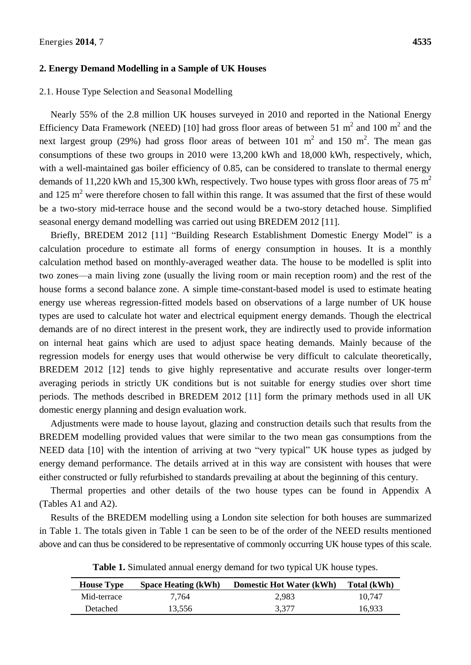#### **2. Energy Demand Modelling in a Sample of UK Houses**

#### 2.1. House Type Selection and Seasonal Modelling

Nearly 55% of the 2.8 million UK houses surveyed in 2010 and reported in the National Energy Efficiency Data Framework (NEED) [10] had gross floor areas of between 51  $m^2$  and 100  $m^2$  and the next largest group (29%) had gross floor areas of between 101  $m^2$  and 150  $m^2$ . The mean gas consumptions of these two groups in 2010 were 13,200 kWh and 18,000 kWh, respectively, which, with a well-maintained gas boiler efficiency of 0.85, can be considered to translate to thermal energy demands of 11,220 kWh and 15,300 kWh, respectively. Two house types with gross floor areas of 75  $m<sup>2</sup>$ and 125  $m^2$  were therefore chosen to fall within this range. It was assumed that the first of these would be a two-story mid-terrace house and the second would be a two-story detached house. Simplified seasonal energy demand modelling was carried out using BREDEM 2012 [11].

Briefly, BREDEM 2012 [11] "Building Research Establishment Domestic Energy Model" is a calculation procedure to estimate all forms of energy consumption in houses. It is a monthly calculation method based on monthly-averaged weather data. The house to be modelled is split into two zones—a main living zone (usually the living room or main reception room) and the rest of the house forms a second balance zone. A simple time-constant-based model is used to estimate heating energy use whereas regression-fitted models based on observations of a large number of UK house types are used to calculate hot water and electrical equipment energy demands. Though the electrical demands are of no direct interest in the present work, they are indirectly used to provide information on internal heat gains which are used to adjust space heating demands. Mainly because of the regression models for energy uses that would otherwise be very difficult to calculate theoretically, BREDEM 2012 [12] tends to give highly representative and accurate results over longer-term averaging periods in strictly UK conditions but is not suitable for energy studies over short time periods. The methods described in BREDEM 2012 [11] form the primary methods used in all UK domestic energy planning and design evaluation work.

Adjustments were made to house layout, glazing and construction details such that results from the BREDEM modelling provided values that were similar to the two mean gas consumptions from the NEED data [10] with the intention of arriving at two "very typical" UK house types as judged by energy demand performance. The details arrived at in this way are consistent with houses that were either constructed or fully refurbished to standards prevailing at about the beginning of this century.

Thermal properties and other details of the two house types can be found in Appendix A (Tables A1 and A2).

Results of the BREDEM modelling using a London site selection for both houses are summarized in Table 1. The totals given in Table 1 can be seen to be of the order of the NEED results mentioned above and can thus be considered to be representative of commonly occurring UK house types of this scale.

| <b>House Type</b> | <b>Space Heating (kWh)</b> | <b>Domestic Hot Water (kWh)</b> | Total (kWh) |
|-------------------|----------------------------|---------------------------------|-------------|
| Mid-terrace       | 7.764                      | 2.983                           | 10.747      |
| Detached          | 13.556                     | 3.377                           | 16.933      |

**Table 1.** Simulated annual energy demand for two typical UK house types.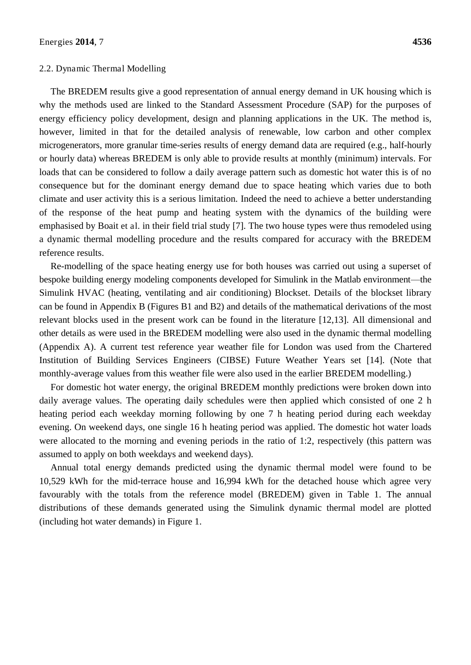#### 2.2. Dynamic Thermal Modelling

The BREDEM results give a good representation of annual energy demand in UK housing which is why the methods used are linked to the Standard Assessment Procedure (SAP) for the purposes of energy efficiency policy development, design and planning applications in the UK. The method is, however, limited in that for the detailed analysis of renewable, low carbon and other complex microgenerators, more granular time-series results of energy demand data are required (e.g., half-hourly or hourly data) whereas BREDEM is only able to provide results at monthly (minimum) intervals. For loads that can be considered to follow a daily average pattern such as domestic hot water this is of no consequence but for the dominant energy demand due to space heating which varies due to both climate and user activity this is a serious limitation. Indeed the need to achieve a better understanding of the response of the heat pump and heating system with the dynamics of the building were emphasised by Boait et al. in their field trial study [7]. The two house types were thus remodeled using a dynamic thermal modelling procedure and the results compared for accuracy with the BREDEM reference results.

Re-modelling of the space heating energy use for both houses was carried out using a superset of bespoke building energy modeling components developed for Simulink in the Matlab environment—the Simulink HVAC (heating, ventilating and air conditioning) Blockset. Details of the blockset library can be found in Appendix B (Figures B1 and B2) and details of the mathematical derivations of the most relevant blocks used in the present work can be found in the literature [12,13]. All dimensional and other details as were used in the BREDEM modelling were also used in the dynamic thermal modelling (Appendix A). A current test reference year weather file for London was used from the Chartered Institution of Building Services Engineers (CIBSE) Future Weather Years set [14]. (Note that monthly-average values from this weather file were also used in the earlier BREDEM modelling.)

For domestic hot water energy, the original BREDEM monthly predictions were broken down into daily average values. The operating daily schedules were then applied which consisted of one 2 h heating period each weekday morning following by one 7 h heating period during each weekday evening. On weekend days, one single 16 h heating period was applied. The domestic hot water loads were allocated to the morning and evening periods in the ratio of 1:2, respectively (this pattern was assumed to apply on both weekdays and weekend days).

Annual total energy demands predicted using the dynamic thermal model were found to be 10,529 kWh for the mid-terrace house and 16,994 kWh for the detached house which agree very favourably with the totals from the reference model (BREDEM) given in Table 1. The annual distributions of these demands generated using the Simulink dynamic thermal model are plotted (including hot water demands) in Figure 1.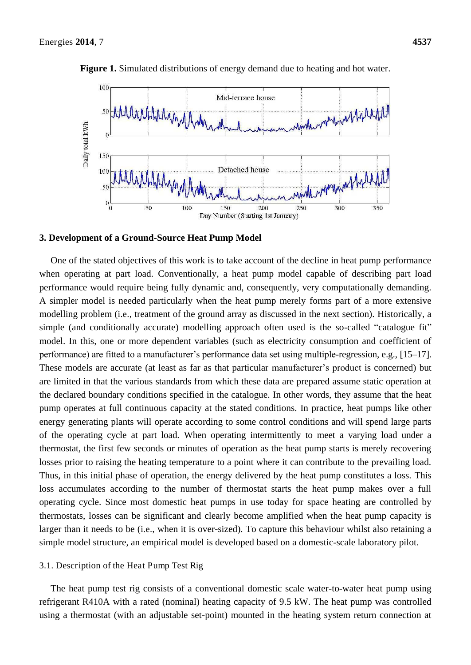

**Figure 1.** Simulated distributions of energy demand due to heating and hot water.

#### **3. Development of a Ground-Source Heat Pump Model**

One of the stated objectives of this work is to take account of the decline in heat pump performance when operating at part load. Conventionally, a heat pump model capable of describing part load performance would require being fully dynamic and, consequently, very computationally demanding. A simpler model is needed particularly when the heat pump merely forms part of a more extensive modelling problem (i.e., treatment of the ground array as discussed in the next section). Historically, a simple (and conditionally accurate) modelling approach often used is the so-called "catalogue fit" model. In this, one or more dependent variables (such as electricity consumption and coefficient of performance) are fitted to a manufacturer's performance data set using multiple-regression, e.g., [15–17]. These models are accurate (at least as far as that particular manufacturer's product is concerned) but are limited in that the various standards from which these data are prepared assume static operation at the declared boundary conditions specified in the catalogue. In other words, they assume that the heat pump operates at full continuous capacity at the stated conditions. In practice, heat pumps like other energy generating plants will operate according to some control conditions and will spend large parts of the operating cycle at part load. When operating intermittently to meet a varying load under a thermostat, the first few seconds or minutes of operation as the heat pump starts is merely recovering losses prior to raising the heating temperature to a point where it can contribute to the prevailing load. Thus, in this initial phase of operation, the energy delivered by the heat pump constitutes a loss. This loss accumulates according to the number of thermostat starts the heat pump makes over a full operating cycle. Since most domestic heat pumps in use today for space heating are controlled by thermostats, losses can be significant and clearly become amplified when the heat pump capacity is larger than it needs to be (i.e., when it is over-sized). To capture this behaviour whilst also retaining a simple model structure, an empirical model is developed based on a domestic-scale laboratory pilot.

#### 3.1. Description of the Heat Pump Test Rig

The heat pump test rig consists of a conventional domestic scale water-to-water heat pump using refrigerant R410A with a rated (nominal) heating capacity of 9.5 kW. The heat pump was controlled using a thermostat (with an adjustable set-point) mounted in the heating system return connection at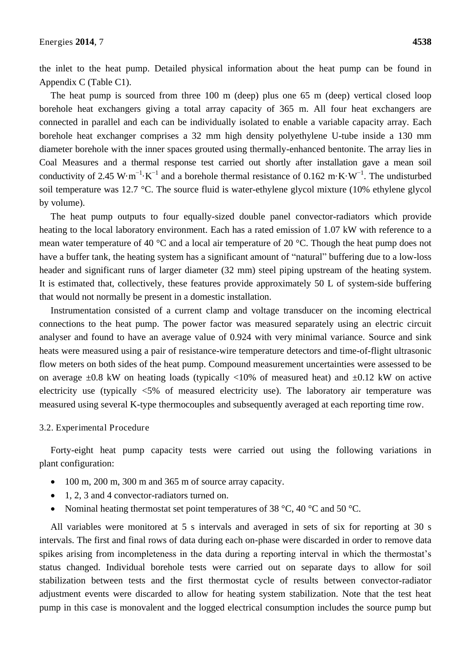the inlet to the heat pump. Detailed physical information about the heat pump can be found in Appendix C (Table C1).

The heat pump is sourced from three 100 m (deep) plus one 65 m (deep) vertical closed loop borehole heat exchangers giving a total array capacity of 365 m. All four heat exchangers are connected in parallel and each can be individually isolated to enable a variable capacity array. Each borehole heat exchanger comprises a 32 mm high density polyethylene U-tube inside a 130 mm diameter borehole with the inner spaces grouted using thermally-enhanced bentonite. The array lies in Coal Measures and a thermal response test carried out shortly after installation gave a mean soil conductivity of 2.45 W⋅m<sup>-1</sup>⋅K<sup>-1</sup> and a borehole thermal resistance of 0.162 m⋅K⋅W<sup>-1</sup>. The undisturbed soil temperature was 12.7 °C. The source fluid is water-ethylene glycol mixture (10% ethylene glycol by volume).

The heat pump outputs to four equally-sized double panel convector-radiators which provide heating to the local laboratory environment. Each has a rated emission of 1.07 kW with reference to a mean water temperature of 40 °C and a local air temperature of 20 °C. Though the heat pump does not have a buffer tank, the heating system has a significant amount of "natural" buffering due to a low-loss header and significant runs of larger diameter (32 mm) steel piping upstream of the heating system. It is estimated that, collectively, these features provide approximately 50 L of system-side buffering that would not normally be present in a domestic installation.

Instrumentation consisted of a current clamp and voltage transducer on the incoming electrical connections to the heat pump. The power factor was measured separately using an electric circuit analyser and found to have an average value of 0.924 with very minimal variance. Source and sink heats were measured using a pair of resistance-wire temperature detectors and time-of-flight ultrasonic flow meters on both sides of the heat pump. Compound measurement uncertainties were assessed to be on average  $\pm 0.8$  kW on heating loads (typically  $\langle 10\%$  of measured heat) and  $\pm 0.12$  kW on active electricity use (typically <5% of measured electricity use). The laboratory air temperature was measured using several K-type thermocouples and subsequently averaged at each reporting time row.

#### 3.2. Experimental Procedure

Forty-eight heat pump capacity tests were carried out using the following variations in plant configuration:

- 100 m, 200 m, 300 m and 365 m of source array capacity.
- 1, 2, 3 and 4 convector-radiators turned on.
- Nominal heating thermostat set point temperatures of 38  $\degree$ C, 40  $\degree$ C and 50  $\degree$ C.

All variables were monitored at 5 s intervals and averaged in sets of six for reporting at 30 s intervals. The first and final rows of data during each on-phase were discarded in order to remove data spikes arising from incompleteness in the data during a reporting interval in which the thermostat's status changed. Individual borehole tests were carried out on separate days to allow for soil stabilization between tests and the first thermostat cycle of results between convector-radiator adjustment events were discarded to allow for heating system stabilization. Note that the test heat pump in this case is monovalent and the logged electrical consumption includes the source pump but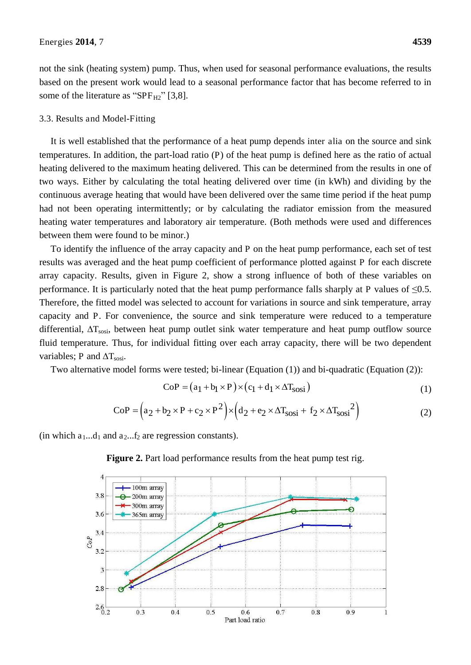not the sink (heating system) pump. Thus, when used for seasonal performance evaluations, the results based on the present work would lead to a seasonal performance factor that has become referred to in some of the literature as " $SPF_{H2}$ " [3,8].

#### 3.3. Results and Model-Fitting

It is well established that the performance of a heat pump depends inter alia on the source and sink temperatures. In addition, the part-load ratio (P) of the heat pump is defined here as the ratio of actual heating delivered to the maximum heating delivered. This can be determined from the results in one of two ways. Either by calculating the total heating delivered over time (in kWh) and dividing by the continuous average heating that would have been delivered over the same time period if the heat pump had not been operating intermittently; or by calculating the radiator emission from the measured heating water temperatures and laboratory air temperature. (Both methods were used and differences between them were found to be minor.)

To identify the influence of the array capacity and P on the heat pump performance, each set of test results was averaged and the heat pump coefficient of performance plotted against P for each discrete array capacity. Results, given in Figure 2, show a strong influence of both of these variables on performance. It is particularly noted that the heat pump performance falls sharply at P values of  $\leq 0.5$ . Therefore, the fitted model was selected to account for variations in source and sink temperature, array capacity and P. For convenience, the source and sink temperature were reduced to a temperature differential,  $\Delta T_{sosi}$ , between heat pump outlet sink water temperature and heat pump outflow source fluid temperature. Thus, for individual fitting over each array capacity, there will be two dependent variables; P and  $\Delta T_{sosi}$ .

Two alternative model forms were tested; bi-linear (Equation (1)) and bi-quadratic (Equation (2)):

$$
CoP = (a_1 + b_1 \times P) \times (c_1 + d_1 \times \Delta T_{sosi})
$$
\n(1)

$$
CoP = (a_2 + b_2 \times P + c_2 \times P^2) \times (d_2 + e_2 \times \Delta T_{sosi} + f_2 \times \Delta T_{sosi}^2)
$$
 (2)

(in which  $a_1...d_1$  and  $a_2...f_2$  are regression constants).



**Figure 2.** Part load performance results from the heat pump test rig.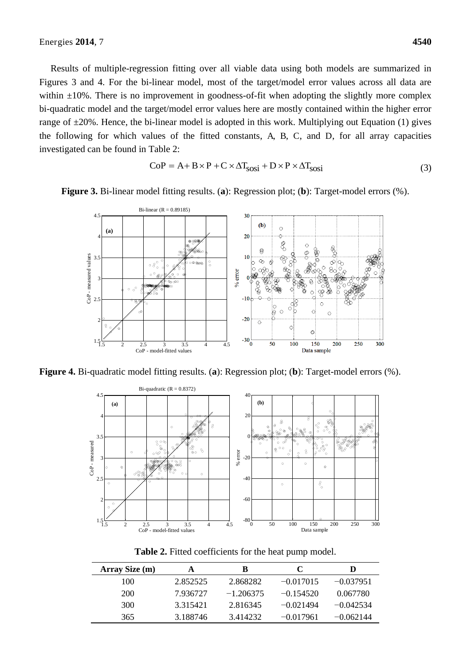Energies **2014**, 7 **4540** 

Results of multiple-regression fitting over all viable data using both models are summarized in Figures 3 and 4. For the bi-linear model, most of the target/model error values across all data are within  $\pm 10\%$ . There is no improvement in goodness-of-fit when adopting the slightly more complex bi-quadratic model and the target/model error values here are mostly contained within the higher error range of  $\pm 20$ %. Hence, the bi-linear model is adopted in this work. Multiplying out Equation (1) gives the following for which values of the fitted constants, A, B, C, and D, for all array capacities investigated can be found in Table 2:

$$
CoP = A + B \times P + C \times \Delta T_{SOSi} + D \times P \times \Delta T_{SOSi}
$$
\n(3)



**Figure 3.** Bi-linear model fitting results. (**a**): Regression plot; (**b**): Target-model errors (%).

**Figure 4.** Bi-quadratic model fitting results. (**a**): Regression plot; (**b**): Target-model errors (%).



**Table 2.** Fitted coefficients for the heat pump model.

| Array Size (m) | A        | В           | C           |             |
|----------------|----------|-------------|-------------|-------------|
| 100            | 2.852525 | 2.868282    | $-0.017015$ | $-0.037951$ |
| 200            | 7.936727 | $-1.206375$ | $-0.154520$ | 0.067780    |
| 300            | 3.315421 | 2.816345    | $-0.021494$ | $-0.042534$ |
| 365            | 3.188746 | 3.414232    | $-0.017961$ | $-0.062144$ |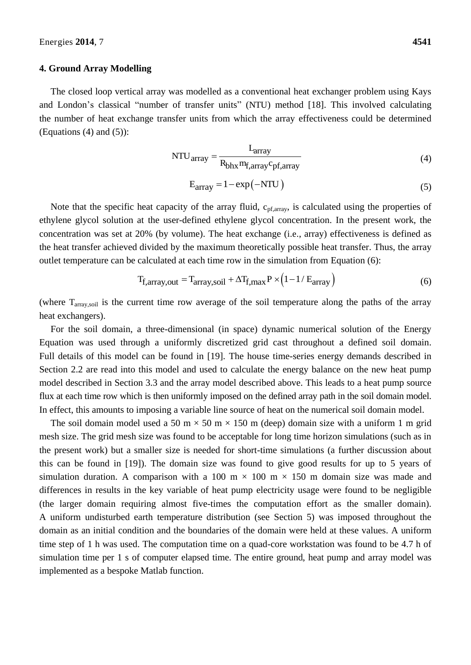#### **4. Ground Array Modelling**

The closed loop vertical array was modelled as a conventional heat exchanger problem using Kays and London's classical "number of transfer units" (NTU) method [18]. This involved calculating the number of heat exchange transfer units from which the array effectiveness could be determined (Equations  $(4)$  and  $(5)$ ):

NTU<sub>array</sub> = 
$$
\frac{L_{array}}{R_{bhx} m_{f,array} c_{pf,array}}
$$
 (4)

$$
E_{\text{array}} = 1 - \exp(-NTU) \tag{5}
$$

Note that the specific heat capacity of the array fluid,  $c_{pf,array}$ , is calculated using the properties of ethylene glycol solution at the user-defined ethylene glycol concentration. In the present work, the concentration was set at 20% (by volume). The heat exchange (i.e., array) effectiveness is defined as the heat transfer achieved divided by the maximum theoretically possible heat transfer. Thus, the array outlet temperature can be calculated at each time row in the simulation from Equation (6):

$$
T_{f, array,out} = T_{array, soil} + \Delta T_{f,max} P \times (1 - 1 / E_{array})
$$
\n(6)

(where Tarray,soil is the current time row average of the soil temperature along the paths of the array heat exchangers).

For the soil domain, a three-dimensional (in space) dynamic numerical solution of the Energy Equation was used through a uniformly discretized grid cast throughout a defined soil domain. Full details of this model can be found in [19]. The house time-series energy demands described in Section 2.2 are read into this model and used to calculate the energy balance on the new heat pump model described in Section 3.3 and the array model described above. This leads to a heat pump source flux at each time row which is then uniformly imposed on the defined array path in the soil domain model. In effect, this amounts to imposing a variable line source of heat on the numerical soil domain model.

The soil domain model used a 50 m  $\times$  50 m  $\times$  150 m (deep) domain size with a uniform 1 m grid mesh size. The grid mesh size was found to be acceptable for long time horizon simulations (such as in the present work) but a smaller size is needed for short-time simulations (a further discussion about this can be found in [19]). The domain size was found to give good results for up to 5 years of simulation duration. A comparison with a 100 m  $\times$  100 m  $\times$  150 m domain size was made and differences in results in the key variable of heat pump electricity usage were found to be negligible (the larger domain requiring almost five-times the computation effort as the smaller domain). A uniform undisturbed earth temperature distribution (see Section 5) was imposed throughout the domain as an initial condition and the boundaries of the domain were held at these values. A uniform time step of 1 h was used. The computation time on a quad-core workstation was found to be 4.7 h of simulation time per 1 s of computer elapsed time. The entire ground, heat pump and array model was implemented as a bespoke Matlab function.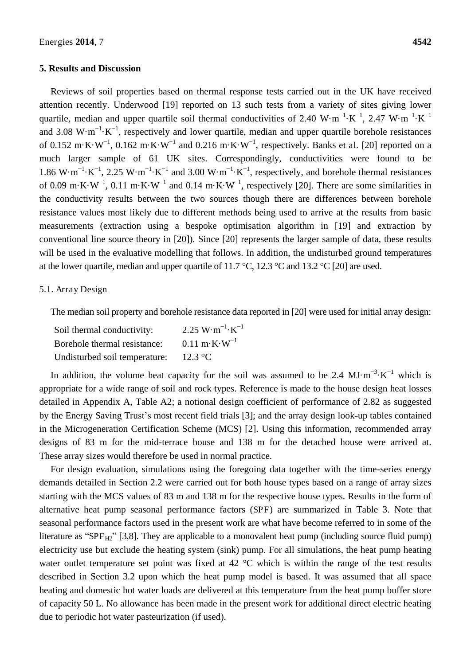#### **5. Results and Discussion**

Reviews of soil properties based on thermal response tests carried out in the UK have received attention recently. Underwood [19] reported on 13 such tests from a variety of sites giving lower quartile, median and upper quartile soil thermal conductivities of 2.40 W·m<sup>-1</sup>·K<sup>-1</sup>, 2.47 W·m<sup>-1</sup>·K<sup>-1</sup> and 3.08 W⋅m<sup>-1</sup>⋅K<sup>-1</sup>, respectively and lower quartile, median and upper quartile borehole resistances of 0.152 m⋅K⋅W<sup>-1</sup>, 0.162 m⋅K⋅W<sup>-1</sup> and 0.216 m⋅K⋅W<sup>-1</sup>, respectively. Banks et al. [20] reported on a much larger sample of 61 UK sites. Correspondingly, conductivities were found to be 1.86 W⋅m<sup>-1</sup>⋅K<sup>-1</sup>, 2.25 W⋅m<sup>-1</sup>⋅K<sup>-1</sup> and 3.00 W⋅m<sup>-1</sup>⋅K<sup>-1</sup>, respectively, and borehole thermal resistances of 0.09 m⋅K⋅W<sup>-1</sup>, 0.11 m⋅K⋅W<sup>-1</sup> and 0.14 m⋅K⋅W<sup>-1</sup>, respectively [20]. There are some similarities in the conductivity results between the two sources though there are differences between borehole resistance values most likely due to different methods being used to arrive at the results from basic measurements (extraction using a bespoke optimisation algorithm in [19] and extraction by conventional line source theory in [20]). Since [20] represents the larger sample of data, these results will be used in the evaluative modelling that follows. In addition, the undisturbed ground temperatures at the lower quartile, median and upper quartile of 11.7 °C, 12.3 °C and 13.2 °C [20] are used.

#### 5.1. Array Design

The median soil property and borehole resistance data reported in [20] were used for initial array design:

| Soil thermal conductivity:    | $2.25 \text{ W} \cdot \text{m}^{-1} \cdot \text{K}^{-1}$ |
|-------------------------------|----------------------------------------------------------|
| Borehole thermal resistance:  | $0.11 \text{ m} \cdot \text{K} \cdot \text{W}^{-1}$      |
| Undisturbed soil temperature: | $12.3 \text{ °C}$                                        |

In addition, the volume heat capacity for the soil was assumed to be 2.4 MJ·m<sup>-3</sup>⋅K<sup>-1</sup> which is appropriate for a wide range of soil and rock types. Reference is made to the house design heat losses detailed in Appendix A, Table A2; a notional design coefficient of performance of 2.82 as suggested by the Energy Saving Trust's most recent field trials [3]; and the array design look-up tables contained in the Microgeneration Certification Scheme (MCS) [2]. Using this information, recommended array designs of 83 m for the mid-terrace house and 138 m for the detached house were arrived at. These array sizes would therefore be used in normal practice.

For design evaluation, simulations using the foregoing data together with the time-series energy demands detailed in Section 2.2 were carried out for both house types based on a range of array sizes starting with the MCS values of 83 m and 138 m for the respective house types. Results in the form of alternative heat pump seasonal performance factors (SPF) are summarized in Table 3. Note that seasonal performance factors used in the present work are what have become referred to in some of the literature as "SPF $_{H2}$ " [3,8]. They are applicable to a monovalent heat pump (including source fluid pump) electricity use but exclude the heating system (sink) pump. For all simulations, the heat pump heating water outlet temperature set point was fixed at 42 °C which is within the range of the test results described in Section 3.2 upon which the heat pump model is based. It was assumed that all space heating and domestic hot water loads are delivered at this temperature from the heat pump buffer store of capacity 50 L. No allowance has been made in the present work for additional direct electric heating due to periodic hot water pasteurization (if used).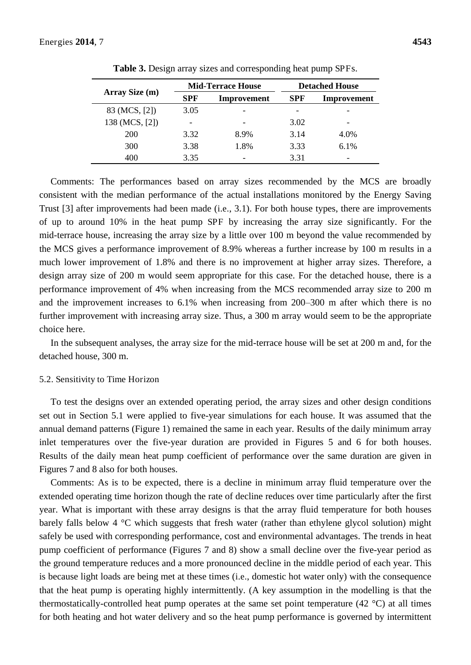|                |                          | <b>Mid-Terrace House</b> | <b>Detached House</b> |             |
|----------------|--------------------------|--------------------------|-----------------------|-------------|
| Array Size (m) | <b>SPF</b>               | Improvement              | <b>SPF</b>            | Improvement |
| 83 (MCS, [2])  | 3.05                     |                          |                       |             |
| 138 (MCS, [2]) | $\overline{\phantom{0}}$ |                          | 3.02                  |             |
| 200            | 3.32                     | 8.9%                     | 3.14                  | 4.0%        |
| 300            | 3.38                     | 1.8%                     | 3.33                  | 6.1%        |
| 400            | 3.35                     |                          | 3.31                  |             |

**Table 3.** Design array sizes and corresponding heat pump SPFs.

Comments: The performances based on array sizes recommended by the MCS are broadly consistent with the median performance of the actual installations monitored by the Energy Saving Trust [3] after improvements had been made (i.e., 3.1). For both house types, there are improvements of up to around 10% in the heat pump SPF by increasing the array size significantly. For the mid-terrace house, increasing the array size by a little over 100 m beyond the value recommended by the MCS gives a performance improvement of 8.9% whereas a further increase by 100 m results in a much lower improvement of 1.8% and there is no improvement at higher array sizes. Therefore, a design array size of 200 m would seem appropriate for this case. For the detached house, there is a performance improvement of 4% when increasing from the MCS recommended array size to 200 m and the improvement increases to 6.1% when increasing from 200–300 m after which there is no further improvement with increasing array size. Thus, a 300 m array would seem to be the appropriate choice here.

In the subsequent analyses, the array size for the mid-terrace house will be set at 200 m and, for the detached house, 300 m.

#### 5.2. Sensitivity to Time Horizon

To test the designs over an extended operating period, the array sizes and other design conditions set out in Section 5.1 were applied to five-year simulations for each house. It was assumed that the annual demand patterns (Figure 1) remained the same in each year. Results of the daily minimum array inlet temperatures over the five-year duration are provided in Figures 5 and 6 for both houses. Results of the daily mean heat pump coefficient of performance over the same duration are given in Figures 7 and 8 also for both houses.

Comments: As is to be expected, there is a decline in minimum array fluid temperature over the extended operating time horizon though the rate of decline reduces over time particularly after the first year. What is important with these array designs is that the array fluid temperature for both houses barely falls below 4 °C which suggests that fresh water (rather than ethylene glycol solution) might safely be used with corresponding performance, cost and environmental advantages. The trends in heat pump coefficient of performance (Figures 7 and 8) show a small decline over the five-year period as the ground temperature reduces and a more pronounced decline in the middle period of each year. This is because light loads are being met at these times (i.e., domestic hot water only) with the consequence that the heat pump is operating highly intermittently. (A key assumption in the modelling is that the thermostatically-controlled heat pump operates at the same set point temperature (42 °C) at all times for both heating and hot water delivery and so the heat pump performance is governed by intermittent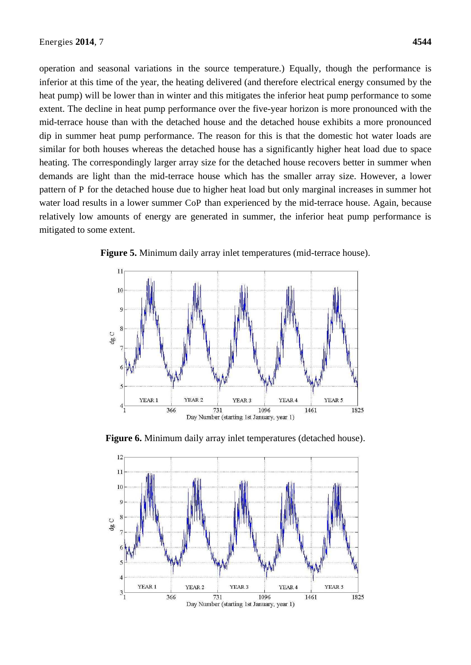operation and seasonal variations in the source temperature.) Equally, though the performance is inferior at this time of the year, the heating delivered (and therefore electrical energy consumed by the heat pump) will be lower than in winter and this mitigates the inferior heat pump performance to some extent. The decline in heat pump performance over the five-year horizon is more pronounced with the mid-terrace house than with the detached house and the detached house exhibits a more pronounced dip in summer heat pump performance. The reason for this is that the domestic hot water loads are similar for both houses whereas the detached house has a significantly higher heat load due to space heating. The correspondingly larger array size for the detached house recovers better in summer when demands are light than the mid-terrace house which has the smaller array size. However, a lower pattern of P for the detached house due to higher heat load but only marginal increases in summer hot water load results in a lower summer CoP than experienced by the mid-terrace house. Again, because relatively low amounts of energy are generated in summer, the inferior heat pump performance is mitigated to some extent.



**Figure 5.** Minimum daily array inlet temperatures (mid-terrace house).

**Figure 6.** Minimum daily array inlet temperatures (detached house).

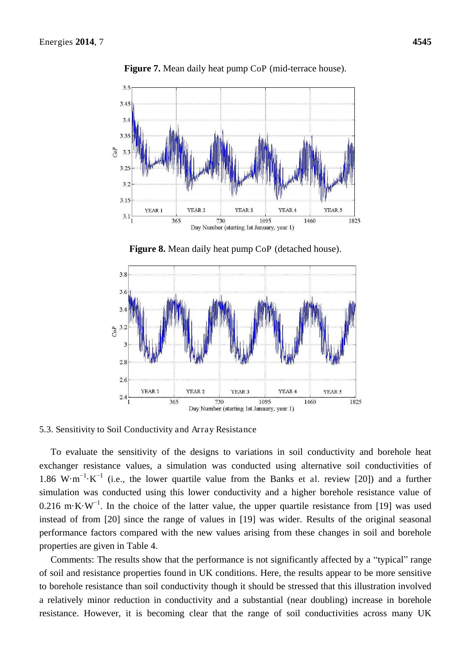

**Figure 7.** Mean daily heat pump CoP (mid-terrace house).

**Figure 8.** Mean daily heat pump CoP (detached house).



5.3. Sensitivity to Soil Conductivity and Array Resistance

To evaluate the sensitivity of the designs to variations in soil conductivity and borehole heat exchanger resistance values, a simulation was conducted using alternative soil conductivities of 1.86 W⋅m<sup>-1</sup>⋅K<sup>-1</sup> (i.e., the lower quartile value from the Banks et al. review [20]) and a further simulation was conducted using this lower conductivity and a higher borehole resistance value of 0.216 m⋅K⋅W<sup>-1</sup>. In the choice of the latter value, the upper quartile resistance from [19] was used instead of from [20] since the range of values in [19] was wider. Results of the original seasonal performance factors compared with the new values arising from these changes in soil and borehole properties are given in Table 4.

Comments: The results show that the performance is not significantly affected by a "typical" range of soil and resistance properties found in UK conditions. Here, the results appear to be more sensitive to borehole resistance than soil conductivity though it should be stressed that this illustration involved a relatively minor reduction in conductivity and a substantial (near doubling) increase in borehole resistance. However, it is becoming clear that the range of soil conductivities across many UK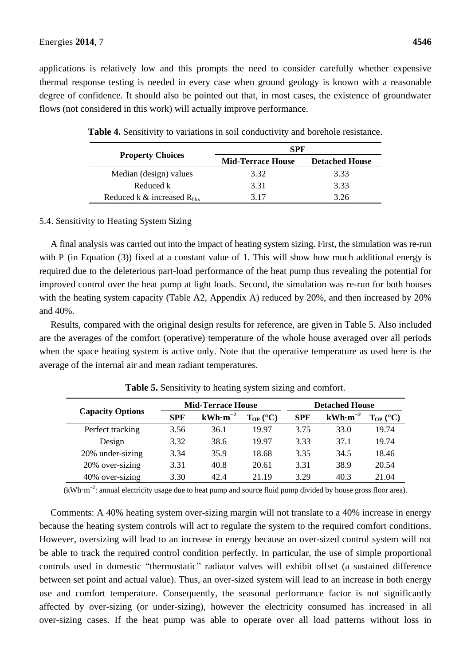applications is relatively low and this prompts the need to consider carefully whether expensive thermal response testing is needed in every case when ground geology is known with a reasonable degree of confidence. It should also be pointed out that, in most cases, the existence of groundwater flows (not considered in this work) will actually improve performance.

|                                        | <b>SPF</b>               |                       |  |  |  |
|----------------------------------------|--------------------------|-----------------------|--|--|--|
| <b>Property Choices</b>                | <b>Mid-Terrace House</b> | <b>Detached House</b> |  |  |  |
| Median (design) values                 | 3.32                     | 3.33                  |  |  |  |
| Reduced k                              | 3.31                     | 3.33                  |  |  |  |
| Reduced k & increased $R_{\text{hbx}}$ | 3 17                     | 326                   |  |  |  |

**Table 4.** Sensitivity to variations in soil conductivity and borehole resistance.

#### 5.4. Sensitivity to Heating System Sizing

A final analysis was carried out into the impact of heating system sizing. First, the simulation was re-run with P (in Equation (3)) fixed at a constant value of 1. This will show how much additional energy is required due to the deleterious part-load performance of the heat pump thus revealing the potential for improved control over the heat pump at light loads. Second, the simulation was re-run for both houses with the heating system capacity (Table A2, Appendix A) reduced by 20%, and then increased by 20% and 40%.

Results, compared with the original design results for reference, are given in Table 5. Also included are the averages of the comfort (operative) temperature of the whole house averaged over all periods when the space heating system is active only. Note that the operative temperature as used here is the average of the internal air and mean radiant temperatures.

|                         | <b>Mid-Terrace House</b> |              |               | <b>Detached House</b> |           |               |
|-------------------------|--------------------------|--------------|---------------|-----------------------|-----------|---------------|
| <b>Capacity Options</b> | <b>SPF</b>               | $kWh·m^{-2}$ | $T_{OP}$ (°C) | <b>SPF</b>            | $kWh·m-2$ | $T_{OP}$ (°C) |
| Perfect tracking        | 3.56                     | 36.1         | 19.97         | 3.75                  | 33.0      | 19.74         |
| Design                  | 3.32                     | 38.6         | 19.97         | 3.33                  | 37.1      | 19.74         |
| 20% under-sizing        | 3.34                     | 35.9         | 18.68         | 3.35                  | 34.5      | 18.46         |
| 20% over-sizing         | 3.31                     | 40.8         | 20.61         | 3.31                  | 38.9      | 20.54         |
| 40% over-sizing         | 3.30                     | 42.4         | 21.19         | 3.29                  | 40.3      | 21.04         |

**Table 5.** Sensitivity to heating system sizing and comfort.

(kWh·m<sup>−</sup><sup>2</sup> : annual electricity usage due to heat pump and source fluid pump divided by house gross floor area).

Comments: A 40% heating system over-sizing margin will not translate to a 40% increase in energy because the heating system controls will act to regulate the system to the required comfort conditions. However, oversizing will lead to an increase in energy because an over-sized control system will not be able to track the required control condition perfectly. In particular, the use of simple proportional controls used in domestic "thermostatic" radiator valves will exhibit offset (a sustained difference between set point and actual value). Thus, an over-sized system will lead to an increase in both energy use and comfort temperature. Consequently, the seasonal performance factor is not significantly affected by over-sizing (or under-sizing), however the electricity consumed has increased in all over-sizing cases. If the heat pump was able to operate over all load patterns without loss in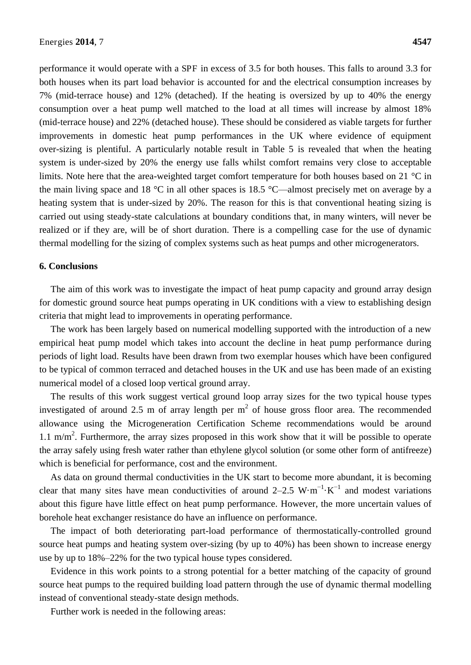performance it would operate with a SPF in excess of 3.5 for both houses. This falls to around 3.3 for both houses when its part load behavior is accounted for and the electrical consumption increases by 7% (mid-terrace house) and 12% (detached). If the heating is oversized by up to 40% the energy consumption over a heat pump well matched to the load at all times will increase by almost 18% (mid-terrace house) and 22% (detached house). These should be considered as viable targets for further improvements in domestic heat pump performances in the UK where evidence of equipment over-sizing is plentiful. A particularly notable result in Table 5 is revealed that when the heating system is under-sized by 20% the energy use falls whilst comfort remains very close to acceptable limits. Note here that the area-weighted target comfort temperature for both houses based on 21 °C in the main living space and 18 °C in all other spaces is 18.5 °C—almost precisely met on average by a heating system that is under-sized by 20%. The reason for this is that conventional heating sizing is carried out using steady-state calculations at boundary conditions that, in many winters, will never be realized or if they are, will be of short duration. There is a compelling case for the use of dynamic thermal modelling for the sizing of complex systems such as heat pumps and other microgenerators.

#### **6. Conclusions**

The aim of this work was to investigate the impact of heat pump capacity and ground array design for domestic ground source heat pumps operating in UK conditions with a view to establishing design criteria that might lead to improvements in operating performance.

The work has been largely based on numerical modelling supported with the introduction of a new empirical heat pump model which takes into account the decline in heat pump performance during periods of light load. Results have been drawn from two exemplar houses which have been configured to be typical of common terraced and detached houses in the UK and use has been made of an existing numerical model of a closed loop vertical ground array.

The results of this work suggest vertical ground loop array sizes for the two typical house types investigated of around 2.5 m of array length per  $m<sup>2</sup>$  of house gross floor area. The recommended allowance using the Microgeneration Certification Scheme recommendations would be around 1.1 m/m<sup>2</sup>. Furthermore, the array sizes proposed in this work show that it will be possible to operate the array safely using fresh water rather than ethylene glycol solution (or some other form of antifreeze) which is beneficial for performance, cost and the environment.

As data on ground thermal conductivities in the UK start to become more abundant, it is becoming clear that many sites have mean conductivities of around  $2-2.5 \text{ W} \cdot \text{m}^{-1} \cdot \text{K}^{-1}$  and modest variations about this figure have little effect on heat pump performance. However, the more uncertain values of borehole heat exchanger resistance do have an influence on performance.

The impact of both deteriorating part-load performance of thermostatically-controlled ground source heat pumps and heating system over-sizing (by up to 40%) has been shown to increase energy use by up to 18%–22% for the two typical house types considered.

Evidence in this work points to a strong potential for a better matching of the capacity of ground source heat pumps to the required building load pattern through the use of dynamic thermal modelling instead of conventional steady-state design methods.

Further work is needed in the following areas: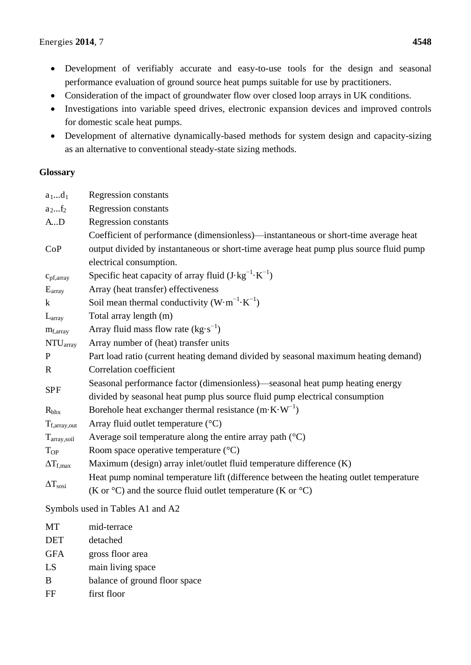- Development of verifiably accurate and easy-to-use tools for the design and seasonal performance evaluation of ground source heat pumps suitable for use by practitioners.
- Consideration of the impact of groundwater flow over closed loop arrays in UK conditions.
- Investigations into variable speed drives, electronic expansion devices and improved controls for domestic scale heat pumps.
- Development of alternative dynamically-based methods for system design and capacity-sizing as an alternative to conventional steady-state sizing methods.

## **Glossary**

| $a_1d_1$                          | Regression constants                                                                   |
|-----------------------------------|----------------------------------------------------------------------------------------|
| $a_2f_2$                          | Regression constants                                                                   |
| AD                                | <b>Regression constants</b>                                                            |
|                                   | Coefficient of performance (dimensionless)—instantaneous or short-time average heat    |
| CoP                               | output divided by instantaneous or short-time average heat pump plus source fluid pump |
|                                   | electrical consumption.                                                                |
| $c_{pf, array}$                   | Specific heat capacity of array fluid $(J \cdot kg^{-1} \cdot K^{-1})$                 |
| $E_{\text{array}}$                | Array (heat transfer) effectiveness                                                    |
| $\bf k$                           | Soil mean thermal conductivity $(W \cdot m^{-1} \cdot K^{-1})$                         |
| L <sub>array</sub>                | Total array length (m)                                                                 |
| $m_{f, array}$                    | Array fluid mass flow rate $(kg·s^{-1})$                                               |
| NTU <sub>array</sub>              | Array number of (heat) transfer units                                                  |
| $\mathbf{P}$                      | Part load ratio (current heating demand divided by seasonal maximum heating demand)    |
| $\mathbf R$                       | Correlation coefficient                                                                |
| <b>SPF</b>                        | Seasonal performance factor (dimensionless)—seasonal heat pump heating energy          |
|                                   | divided by seasonal heat pump plus source fluid pump electrical consumption            |
| $R_{\rm bhx}$                     | Borehole heat exchanger thermal resistance $(m \cdot K \cdot W^{-1})$                  |
| $T_{f, \text{array}, \text{out}}$ | Array fluid outlet temperature $(^{\circ}C)$                                           |
| $T_{\text{array, soil}}$          | Average soil temperature along the entire array path $({}^{\circ}C)$                   |
| T <sub>OP</sub>                   | Room space operative temperature $({}^{\circ}C)$                                       |
| $\Delta T_{f,max}$                | Maximum (design) array inlet/outlet fluid temperature difference (K)                   |
|                                   | Heat pump nominal temperature lift (difference between the heating outlet temperature  |
| $\Delta T_{sosi}$                 | (K or $\mathrm{C}$ ) and the source fluid outlet temperature (K or $\mathrm{C}$ )      |

Symbols used in Tables A1 and A2

| <b>MT</b>      | mid-terrace                   |
|----------------|-------------------------------|
| <b>DET</b>     | detached                      |
| <b>GFA</b>     | gross floor area              |
| L <sub>S</sub> | main living space             |
| B              | balance of ground floor space |
| FF             | first floor                   |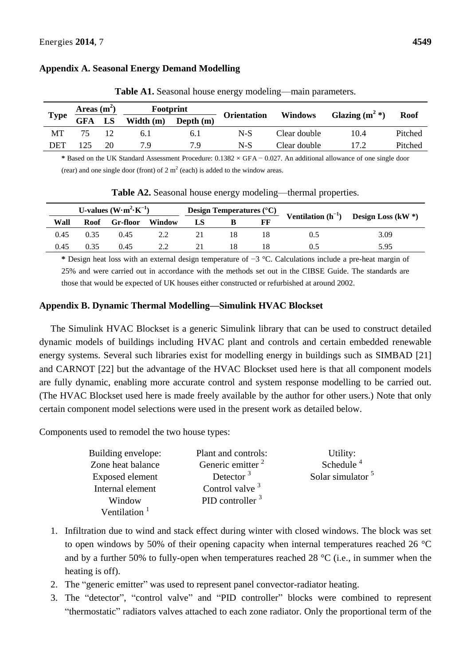|             | Areas $(m^2)$ |    | Footprint   |             |                    |                |                  |         |
|-------------|---------------|----|-------------|-------------|--------------------|----------------|------------------|---------|
| <b>Type</b> | <b>GFA</b>    | LS | Width $(m)$ | Depth $(m)$ | <b>Orientation</b> | <b>Windows</b> | Glazing $(m^2*)$ | Roof    |
| MT          | 75.           |    |             | 6.1         | $N-S$              | Clear double   | 10.4             | Pitched |
| DET         | ∣ 25          | 20 | 7 Q         | 7 Q         | $N-S$              | Clear double   |                  | Pitched |

**Table A1.** Seasonal house energy modeling—main parameters.

**Appendix A. Seasonal Energy Demand Modelling** 

**\*** Based on the UK Standard Assessment Procedure: 0.1382 × GFA − 0.027. An additional allowance of one single door (rear) and one single door (front) of 2  $m<sup>2</sup>$  (each) is added to the window areas.

| U-values $(W \cdot m^2 \cdot K^{-1})$ |      |                 |  | <b>111</b> Design Temperatures $\frac{({}^{\circ}C)}{C}$ Ventilation $(h^{-1})$ Design Loss (kW *) |  |    |      |
|---------------------------------------|------|-----------------|--|----------------------------------------------------------------------------------------------------|--|----|------|
| Wall                                  | Roof | Gr-floor Window |  |                                                                                                    |  | FF |      |
| 0.45                                  | 0.35 | 0.45            |  |                                                                                                    |  |    | 3.09 |
| 0.45                                  | 0.35 | 0.45            |  |                                                                                                    |  |    | 5.95 |

**Table A2.** Seasonal house energy modeling—thermal properties.

**\*** Design heat loss with an external design temperature of −3 °C. Calculations include a pre-heat margin of 25% and were carried out in accordance with the methods set out in the CIBSE Guide. The standards are those that would be expected of UK houses either constructed or refurbished at around 2002.

## **Appendix B. Dynamic Thermal Modelling—Simulink HVAC Blockset**

The Simulink HVAC Blockset is a generic Simulink library that can be used to construct detailed dynamic models of buildings including HVAC plant and controls and certain embedded renewable energy systems. Several such libraries exist for modelling energy in buildings such as SIMBAD [21] and CARNOT [22] but the advantage of the HVAC Blockset used here is that all component models are fully dynamic, enabling more accurate control and system response modelling to be carried out. (The HVAC Blockset used here is made freely available by the author for other users.) Note that only certain component model selections were used in the present work as detailed below.

Components used to remodel the two house types:

| Building envelope: | Plant and controls:          | Utility:                     |
|--------------------|------------------------------|------------------------------|
| Zone heat balance  | Generic emitter <sup>2</sup> | Schedule <sup>4</sup>        |
| Exposed element    | Detector $3$                 | Solar simulator <sup>5</sup> |
| Internal element   | Control valve $3$            |                              |
| Window             | PID controller $3$           |                              |
| Ventilation $1$    |                              |                              |

- 1. Infiltration due to wind and stack effect during winter with closed windows. The block was set to open windows by 50% of their opening capacity when internal temperatures reached 26 °C and by a further 50% to fully-open when temperatures reached 28 °C (i.e., in summer when the heating is off).
- 2. The "generic emitter" was used to represent panel convector-radiator heating.
- 3. The "detector", "control valve" and "PID controller" blocks were combined to represent ―thermostatic‖ radiators valves attached to each zone radiator. Only the proportional term of the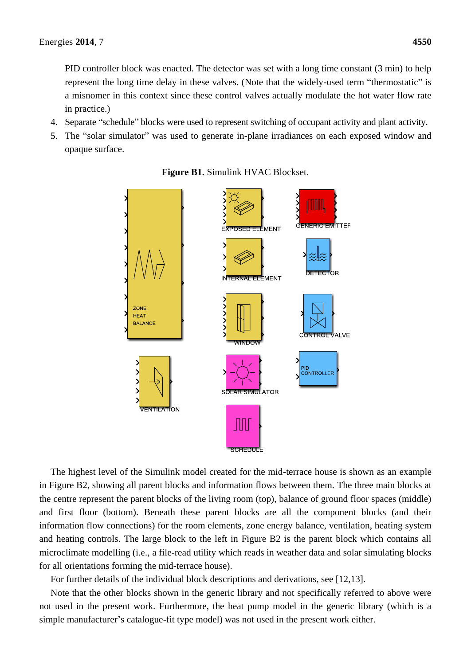PID controller block was enacted. The detector was set with a long time constant (3 min) to help represent the long time delay in these valves. (Note that the widely-used term "thermostatic" is a misnomer in this context since these control valves actually modulate the hot water flow rate in practice.)

- 4. Separate "schedule" blocks were used to represent switching of occupant activity and plant activity.
- 5. The "solar simulator" was used to generate in-plane irradiances on each exposed window and opaque surface.



#### **Figure B1.** Simulink HVAC Blockset.

The highest level of the Simulink model created for the mid-terrace house is shown as an example in Figure B2, showing all parent blocks and information flows between them. The three main blocks at the centre represent the parent blocks of the living room (top), balance of ground floor spaces (middle) and first floor (bottom). Beneath these parent blocks are all the component blocks (and their information flow connections) for the room elements, zone energy balance, ventilation, heating system and heating controls. The large block to the left in Figure B2 is the parent block which contains all microclimate modelling (i.e., a file-read utility which reads in weather data and solar simulating blocks for all orientations forming the mid-terrace house).

For further details of the individual block descriptions and derivations, see [12,13].

Note that the other blocks shown in the generic library and not specifically referred to above were not used in the present work. Furthermore, the heat pump model in the generic library (which is a simple manufacturer's catalogue-fit type model) was not used in the present work either.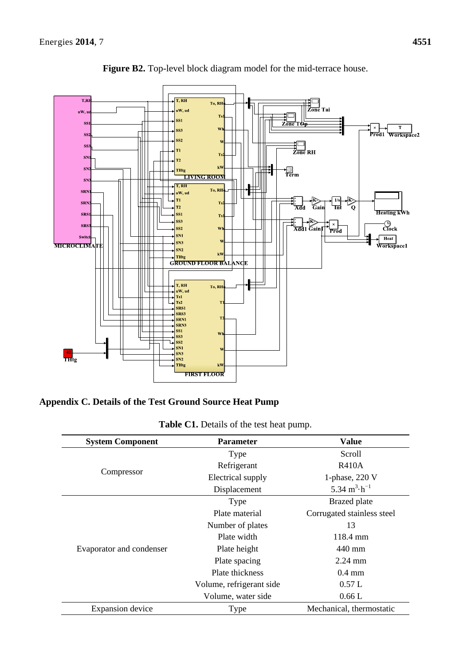

**Figure B2.** Top-level block diagram model for the mid-terrace house.

## **Appendix C. Details of the Test Ground Source Heat Pump**

| <b>System Component</b>  | <b>Parameter</b>         | <b>Value</b>               |
|--------------------------|--------------------------|----------------------------|
|                          | Type                     | Scroll                     |
|                          | Refrigerant              | R410A                      |
| Compressor               | Electrical supply        | 1-phase, 220 V             |
|                          | Displacement             | 5.34 $m^3 \cdot h^{-1}$    |
|                          | Type                     | <b>Brazed</b> plate        |
|                          | Plate material           | Corrugated stainless steel |
|                          | Number of plates         | 13                         |
|                          | Plate width              | $118.4 \text{ mm}$         |
| Evaporator and condenser | Plate height             | 440 mm                     |
|                          | Plate spacing            | $2.24$ mm                  |
|                          | Plate thickness          | $0.4 \text{ mm}$           |
|                          | Volume, refrigerant side | 0.57L                      |
|                          | Volume, water side       | 0.66L                      |
| <b>Expansion</b> device  | <b>Type</b>              | Mechanical, thermostatic   |

| Table C1. Details of the test heat pump. |  |  |  |  |  |  |
|------------------------------------------|--|--|--|--|--|--|
|------------------------------------------|--|--|--|--|--|--|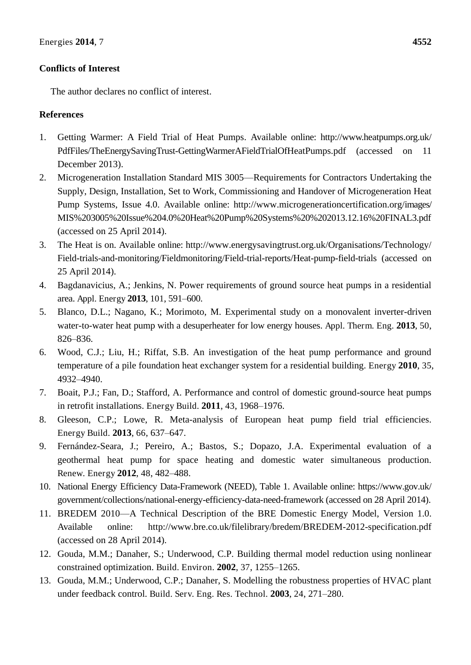## **Conflicts of Interest**

The author declares no conflict of interest.

## **References**

- 1. Getting Warmer: A Field Trial of Heat Pumps. Available online: http://www.heatpumps.org.uk/ PdfFiles/TheEnergySavingTrust-GettingWarmerAFieldTrialOfHeatPumps.pdf (accessed on 11 December 2013).
- 2. Microgeneration Installation Standard MIS 3005—Requirements for Contractors Undertaking the Supply, Design, Installation, Set to Work, Commissioning and Handover of Microgeneration Heat Pump Systems, Issue 4.0. Available online: http://www.microgenerationcertification.org/images/ MIS%203005%20Issue%204.0%20Heat%20Pump%20Systems%20%202013.12.16%20FINAL3.pdf (accessed on 25 April 2014).
- 3. The Heat is on. Available online: http://www.energysavingtrust.org.uk/Organisations/Technology/ Field-trials-and-monitoring/Fieldmonitoring/Field-trial-reports/Heat-pump-field-trials (accessed on 25 April 2014).
- 4. Bagdanavicius, A.; Jenkins, N. Power requirements of ground source heat pumps in a residential area. Appl. Energy **2013**, 101, 591–600.
- 5. Blanco, D.L.; Nagano, K.; Morimoto, M. Experimental study on a monovalent inverter-driven water-to-water heat pump with a desuperheater for low energy houses. Appl. Therm. Eng. **2013**, 50, 826–836.
- 6. Wood, C.J.; Liu, H.; Riffat, S.B. An investigation of the heat pump performance and ground temperature of a pile foundation heat exchanger system for a residential building. Energy **2010**, 35, 4932–4940.
- 7. Boait, P.J.; Fan, D.; Stafford, A. Performance and control of domestic ground-source heat pumps in retrofit installations. Energy Build. **2011**, 43, 1968–1976.
- 8. Gleeson, C.P.; Lowe, R. Meta-analysis of European heat pump field trial efficiencies. Energy Build. **2013**, 66, 637–647.
- 9. Fernández-Seara, J.; Pereiro, A.; Bastos, S.; Dopazo, J.A. Experimental evaluation of a geothermal heat pump for space heating and domestic water simultaneous production. Renew. Energy **2012**, 48, 482–488.
- 10. National Energy Efficiency Data-Framework (NEED), Table 1. Available online: https://www.gov.uk/ government/collections/national-energy-efficiency-data-need-framework (accessed on 28 April 2014).
- 11. BREDEM 2010—A Technical Description of the BRE Domestic Energy Model, Version 1.0. Available online: http://www.bre.co.uk/filelibrary/bredem/BREDEM-2012-specification.pdf (accessed on 28 April 2014).
- 12. Gouda, M.M.; Danaher, S.; Underwood, C.P. Building thermal model reduction using nonlinear constrained optimization. Build. Environ. **2002**, 37, 1255–1265.
- 13. Gouda, M.M.; Underwood, C.P.; Danaher, S. Modelling the robustness properties of HVAC plant under feedback control. Build. Serv. Eng. Res. Technol. **2003**, 24, 271–280.